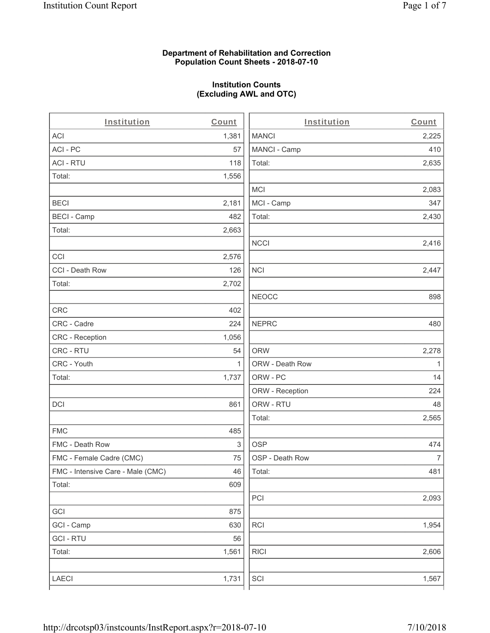# **Department of Rehabilitation and Correction Population Count Sheets - 2018-07-10**

# **Institution Counts (Excluding AWL and OTC)**

 $\overline{a}$ .

| Institution                       | Count        | Institution     | Count        |
|-----------------------------------|--------------|-----------------|--------------|
| <b>ACI</b>                        | 1,381        | <b>MANCI</b>    | 2,225        |
| ACI-PC                            | 57           | MANCI - Camp    | 410          |
| <b>ACI - RTU</b>                  | 118          | Total:          | 2,635        |
| Total:                            | 1,556        |                 |              |
|                                   |              | MCI             | 2,083        |
| <b>BECI</b>                       | 2,181        | MCI - Camp      | 347          |
| <b>BECI - Camp</b>                | 482          | Total:          | 2,430        |
| Total:                            | 2,663        |                 |              |
|                                   |              | <b>NCCI</b>     | 2,416        |
| CCI                               | 2,576        |                 |              |
| CCI - Death Row                   | 126          | <b>NCI</b>      | 2,447        |
| Total:                            | 2,702        |                 |              |
|                                   |              | <b>NEOCC</b>    | 898          |
| <b>CRC</b>                        | 402          |                 |              |
| CRC - Cadre                       | 224          | <b>NEPRC</b>    | 480          |
| <b>CRC</b> - Reception            | 1,056        |                 |              |
| CRC - RTU                         | 54           | <b>ORW</b>      | 2,278        |
| CRC - Youth                       | $\mathbf{1}$ | ORW - Death Row | $\mathbf{1}$ |
| Total:                            | 1,737        | ORW - PC        | 14           |
|                                   |              | ORW - Reception | 224          |
| DCI                               | 861          | ORW - RTU       | 48           |
|                                   |              | Total:          | 2,565        |
| <b>FMC</b>                        | 485          |                 |              |
| FMC - Death Row                   | 3            | <b>OSP</b>      | 474          |
| FMC - Female Cadre (CMC)          | 75           | OSP - Death Row | 7            |
| FMC - Intensive Care - Male (CMC) | 46           | Total:          | 481          |
| Total:                            | 609          |                 |              |
|                                   |              | PCI             | 2,093        |
| GCI                               | 875          |                 |              |
| GCI - Camp                        | 630          | RCI             | 1,954        |
| <b>GCI - RTU</b>                  | 56           |                 |              |
| Total:                            | 1,561        | <b>RICI</b>     | 2,606        |
|                                   |              |                 |              |
| LAECI                             | 1,731        | SCI             | 1,567        |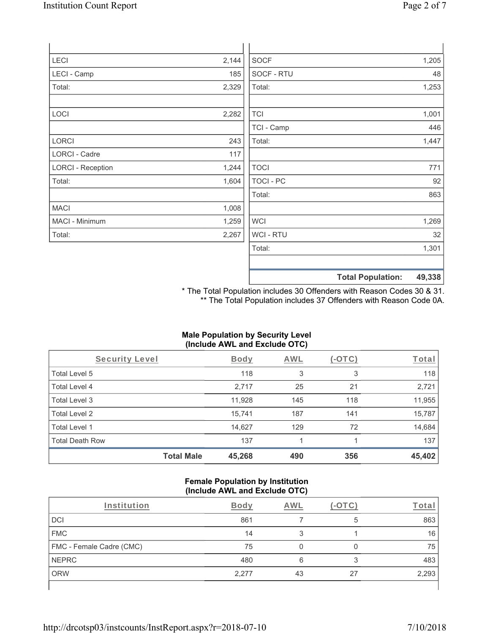| LECI                     | 2,144 | <b>SOCF</b>    | 1,205 |
|--------------------------|-------|----------------|-------|
| LECI - Camp              | 185   | SOCF - RTU     | 48    |
| Total:                   | 2,329 | Total:         | 1,253 |
| LOCI                     | 2,282 | <b>TCI</b>     | 1,001 |
|                          |       | TCI - Camp     | 446   |
| LORCI                    | 243   | Total:         | 1,447 |
| LORCI - Cadre            | 117   |                |       |
| <b>LORCI - Reception</b> | 1,244 | <b>TOCI</b>    | 771   |
| Total:                   | 1,604 | TOCI - PC      | 92    |
|                          |       | Total:         | 863   |
| <b>MACI</b>              | 1,008 |                |       |
| MACI - Minimum           | 1,259 | <b>WCI</b>     | 1,269 |
| Total:                   | 2,267 | <b>WCI-RTU</b> | 32    |
|                          |       | Total:         | 1,301 |
|                          |       |                |       |
|                          |       |                |       |

**Total Population: 49,338**

\* The Total Population includes 30 Offenders with Reason Codes 30 & 31. \*\* The Total Population includes 37 Offenders with Reason Code 0A.

# **Male Population by Security Level (Include AWL and Exclude OTC)**

| Security Level         |                   | <b>Body</b> | AWL | (-OTC) | Total  |
|------------------------|-------------------|-------------|-----|--------|--------|
| Total Level 5          |                   | 118         | 3   | 3      | 118    |
| Total Level 4          |                   | 2,717       | 25  | 21     | 2,721  |
| Total Level 3          |                   | 11,928      | 145 | 118    | 11,955 |
| Total Level 2          |                   | 15,741      | 187 | 141    | 15,787 |
| Total Level 1          |                   | 14,627      | 129 | 72     | 14,684 |
| <b>Total Death Row</b> |                   | 137         |     |        | 137    |
|                        | <b>Total Male</b> | 45,268      | 490 | 356    | 45,402 |

# **Female Population by Institution (Include AWL and Exclude OTC)**

| Institution              | <b>Body</b> | AWI |    |       |
|--------------------------|-------------|-----|----|-------|
| DCI                      | 861         |     | 5  | 863   |
| <b>FMC</b>               | 14          | 3   |    | 16    |
| FMC - Female Cadre (CMC) | 75          |     |    | 75    |
| <b>NEPRC</b>             | 480         | 6   |    | 483   |
| <b>ORW</b>               | 2,277       | 43  | 27 | 2,293 |
|                          |             |     |    |       |

 $\overline{\phantom{a}}$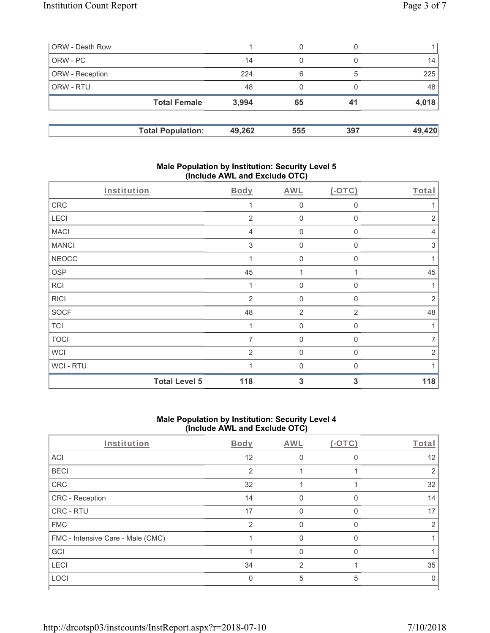| <b>ORW</b> - Death Row |                          |        | 0   |     |        |
|------------------------|--------------------------|--------|-----|-----|--------|
| ORW - PC               |                          | 14     | 0   |     | 14     |
| <b>ORW</b> - Reception |                          | 224    | 6   | 5   | 225    |
| ORW - RTU              |                          | 48     | 0   |     | 48     |
|                        | <b>Total Female</b>      | 3,994  | 65  | 41  | 4,018  |
|                        | <b>Total Population:</b> | 49,262 | 555 | 397 | 49,420 |

# **Male Population by Institution: Security Level 5 (Include AWL and Exclude OTC)**

|              | <b>Total Level 5</b><br>118 | 3                   | 3              | 118            |
|--------------|-----------------------------|---------------------|----------------|----------------|
| WCI-RTU      |                             | $\Omega$            | $\Omega$       |                |
| <b>WCI</b>   | 2                           | $\mathbf 0$         | $\Omega$       | $\overline{2}$ |
| <b>TOCI</b>  | 7                           | $\mathbf 0$         | 0              | 7              |
| <b>TCI</b>   | 1                           | $\mathsf{O}\xspace$ | $\mathbf 0$    | 1              |
| <b>SOCF</b>  | 48                          | $\overline{2}$      | $\overline{2}$ | 48             |
| <b>RICI</b>  | 2                           | $\mathbf 0$         | $\Omega$       | $\overline{2}$ |
| <b>RCI</b>   |                             | $\mathbf 0$         | 0              |                |
| <b>OSP</b>   | 45                          | 1                   |                | 45             |
| <b>NEOCC</b> |                             | $\mathbf 0$         | 0              | 1              |
| <b>MANCI</b> | 3                           | $\mathsf{O}\xspace$ | $\mathbf{0}$   | $\,$ 3 $\,$    |
| <b>MACI</b>  | 4                           | $\mathbf 0$         | $\mathbf 0$    | $\overline{4}$ |
| LECI         | $\overline{2}$              | $\mathbf 0$         | 0              | $\overline{2}$ |
| CRC          |                             | $\mathbf 0$         | $\mathbf 0$    |                |
| Institution  | Body                        | AWL                 | $(-OTC)$       | Total          |

# **Male Population by Institution: Security Level 4 (Include AWL and Exclude OTC)**

| Institution                       | Body           | AWL          | $(-OTC)$ | Total |
|-----------------------------------|----------------|--------------|----------|-------|
| ACI                               | 12             |              |          | 12    |
| <b>BECI</b>                       | $\overline{2}$ |              |          | 2     |
| CRC                               | 32             |              |          | 32    |
| CRC - Reception                   | 14             | <sup>0</sup> | O        | 14    |
| CRC - RTU                         | 17             | 0            | $\Omega$ | 17    |
| <b>FMC</b>                        | $\mathfrak{p}$ |              |          | っ     |
| FMC - Intensive Care - Male (CMC) |                |              | O        |       |
| GCI                               |                | O            | $\Omega$ |       |
| <b>LECI</b>                       | 34             | 2            |          | 35    |
| LOCI                              | 0              | 5            | 5        |       |
|                                   |                |              |          |       |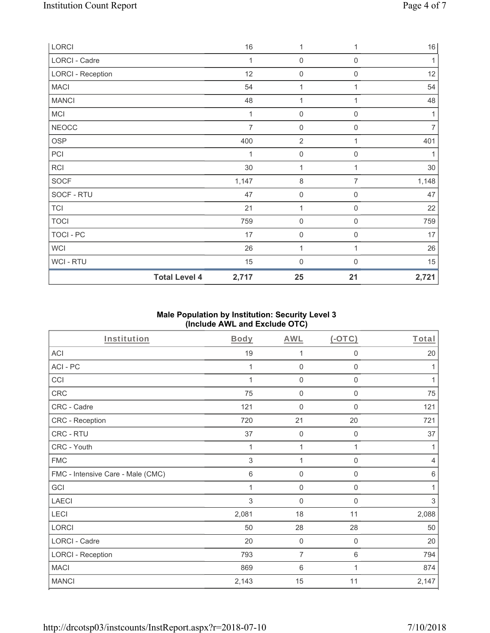|                          | <b>Total Level 4</b> | 2,717          | 25                  | 21                  | 2,721          |
|--------------------------|----------------------|----------------|---------------------|---------------------|----------------|
| WCI - RTU                |                      | 15             | $\mathsf{O}\xspace$ | 0                   | 15             |
| <b>WCI</b>               |                      | 26             | 1                   | 1                   | 26             |
| TOCI - PC                |                      | 17             | $\mathbf 0$         | $\,0\,$             | 17             |
| <b>TOCI</b>              |                      | 759            | $\mathbf 0$         | $\boldsymbol{0}$    | 759            |
| <b>TCI</b>               |                      | 21             | $\mathbf{1}$        | $\mathsf{O}\xspace$ | 22             |
| SOCF - RTU               |                      | 47             | $\mathsf{O}\xspace$ | 0                   | 47             |
| SOCF                     |                      | 1,147          | $\,8\,$             | $\overline{7}$      | 1,148          |
| RCI                      |                      | 30             | 1                   | 1                   | 30             |
| PCI                      |                      | 1              | $\mathsf{O}\xspace$ | 0                   | 1              |
| OSP                      |                      | 400            | $\overline{2}$      | 1                   | 401            |
| <b>NEOCC</b>             |                      | $\overline{7}$ | $\mathbf 0$         | 0                   | $\overline{7}$ |
| <b>MCI</b>               |                      | 1              | $\mathbf 0$         | 0                   | 1              |
| <b>MANCI</b>             |                      | 48             | $\mathbf{1}$        | 1                   | 48             |
| <b>MACI</b>              |                      | 54             | $\mathbf{1}$        | 1                   | 54             |
| <b>LORCI - Reception</b> |                      | 12             | $\mathsf{O}\xspace$ | $\boldsymbol{0}$    | 12             |
| LORCI - Cadre            |                      | 1              | $\mathsf{O}\xspace$ | $\mathsf{O}\xspace$ | 1              |
| LORCI                    |                      | 16             | $\mathbf{1}$        | 1                   | 16             |

# **Male Population by Institution: Security Level 3 (Include AWL and Exclude OTC)**

| Institution                       | Body  | <b>AWL</b>     | $($ -OTC $)$     | Total          |
|-----------------------------------|-------|----------------|------------------|----------------|
| <b>ACI</b>                        | 19    | 1              | $\mathbf 0$      | 20             |
| ACI-PC                            | 1     | $\mathbf 0$    | $\mathbf 0$      | 1              |
| CCI                               |       | $\mathbf 0$    | $\mathbf 0$      | 1              |
| CRC                               | 75    | $\mathbf 0$    | $\boldsymbol{0}$ | 75             |
| CRC - Cadre                       | 121   | $\mathbf 0$    | $\mathbf 0$      | 121            |
| CRC - Reception                   | 720   | 21             | 20               | 721            |
| CRC - RTU                         | 37    | $\mathbf 0$    | $\boldsymbol{0}$ | 37             |
| CRC - Youth                       | 1     | 1              | 1                | 1              |
| <b>FMC</b>                        | 3     | 1              | $\mathbf 0$      | $\overline{4}$ |
| FMC - Intensive Care - Male (CMC) | $\,6$ | $\mathbf 0$    | $\mathbf 0$      | $\,6\,$        |
| GCI                               | 1     | $\mathbf 0$    | $\boldsymbol{0}$ | 1              |
| <b>LAECI</b>                      | 3     | $\mathbf 0$    | $\boldsymbol{0}$ | 3              |
| <b>LECI</b>                       | 2,081 | 18             | 11               | 2,088          |
| LORCI                             | 50    | 28             | 28               | 50             |
| LORCI - Cadre                     | 20    | $\mathbf 0$    | $\mathbf 0$      | 20             |
| <b>LORCI - Reception</b>          | 793   | $\overline{7}$ | 6                | 794            |
| <b>MACI</b>                       | 869   | $\,6$          | 1                | 874            |
| <b>MANCI</b>                      | 2,143 | 15             | 11               | 2,147          |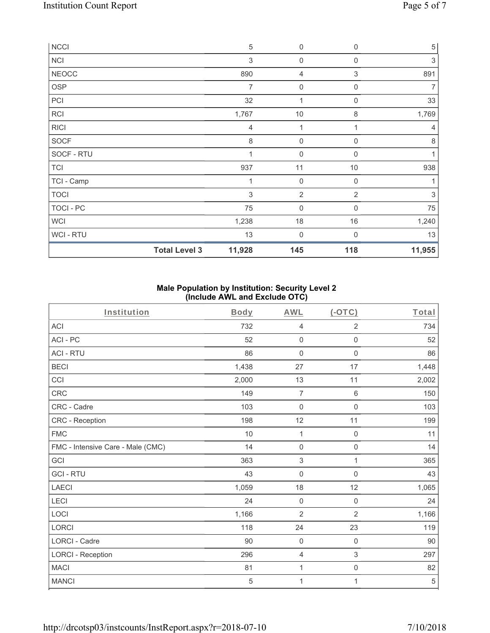| <b>NCCI</b>    |                      | $\sqrt{5}$                | $\boldsymbol{0}$    | $\mathbf 0$    | $\,$ 5 $\,$    |
|----------------|----------------------|---------------------------|---------------------|----------------|----------------|
| <b>NCI</b>     |                      | $\ensuremath{\mathsf{3}}$ | $\mathbf 0$         | $\mathbf 0$    | $\,$ 3 $\,$    |
| <b>NEOCC</b>   |                      | 890                       | 4                   | 3              | 891            |
| <b>OSP</b>     |                      | 7                         | $\boldsymbol{0}$    | $\mathbf 0$    | 7              |
| PCI            |                      | 32                        | 1                   | $\mathbf 0$    | 33             |
| <b>RCI</b>     |                      | 1,767                     | $10$                | 8              | 1,769          |
| <b>RICI</b>    |                      | 4                         |                     |                | $\overline{4}$ |
| <b>SOCF</b>    |                      | 8                         | $\mathbf 0$         | $\mathbf 0$    | 8              |
| SOCF - RTU     |                      | $\overline{1}$            | $\boldsymbol{0}$    | $\Omega$       | 1              |
| <b>TCI</b>     |                      | 937                       | 11                  | 10             | 938            |
| TCI - Camp     |                      | 1                         | $\mathbf 0$         | $\mathbf 0$    | 1              |
| <b>TOCI</b>    |                      | 3                         | $\overline{2}$      | $\overline{2}$ | 3              |
| TOCI - PC      |                      | 75                        | $\mathsf{O}\xspace$ | 0              | 75             |
| <b>WCI</b>     |                      | 1,238                     | 18                  | 16             | 1,240          |
| <b>WCI-RTU</b> |                      | 13                        | 0                   | $\Omega$       | 13             |
|                | <b>Total Level 3</b> | 11,928                    | 145                 | 118            | 11,955         |

# **Male Population by Institution: Security Level 2 (Include AWL and Exclude OTC)**

| Institution                       | <b>Body</b> | <b>AWL</b>                | $($ -OTC $)$        | Total |
|-----------------------------------|-------------|---------------------------|---------------------|-------|
| <b>ACI</b>                        | 732         | $\overline{4}$            | $\overline{2}$      | 734   |
| ACI-PC                            | 52          | $\mathbf 0$               | $\mathsf 0$         | 52    |
| <b>ACI - RTU</b>                  | 86          | $\boldsymbol{0}$          | $\boldsymbol{0}$    | 86    |
| <b>BECI</b>                       | 1,438       | 27                        | 17                  | 1,448 |
| CCI                               | 2,000       | 13                        | 11                  | 2,002 |
| CRC                               | 149         | $\overline{7}$            | $\,6\,$             | 150   |
| CRC - Cadre                       | 103         | $\mathbf 0$               | $\mathbf 0$         | 103   |
| CRC - Reception                   | 198         | 12                        | 11                  | 199   |
| <b>FMC</b>                        | 10          | 1                         | $\mathsf{O}\xspace$ | 11    |
| FMC - Intensive Care - Male (CMC) | 14          | $\mathbf 0$               | $\mathsf{O}\xspace$ | 14    |
| GCI                               | 363         | $\ensuremath{\mathsf{3}}$ | $\mathbf{1}$        | 365   |
| <b>GCI-RTU</b>                    | 43          | $\mathbf 0$               | $\mathbf 0$         | 43    |
| <b>LAECI</b>                      | 1,059       | 18                        | 12                  | 1,065 |
| LECI                              | 24          | $\mathbf 0$               | $\mathbf 0$         | 24    |
| LOCI                              | 1,166       | $\overline{2}$            | $\overline{2}$      | 1,166 |
| LORCI                             | 118         | 24                        | 23                  | 119   |
| LORCI - Cadre                     | 90          | $\mathbf 0$               | $\mathsf{O}\xspace$ | 90    |
| <b>LORCI - Reception</b>          | 296         | $\overline{4}$            | $\sqrt{3}$          | 297   |
| <b>MACI</b>                       | 81          | $\mathbf 1$               | $\mathsf{O}\xspace$ | 82    |
| <b>MANCI</b>                      | 5           | $\mathbf 1$               | 1                   | 5     |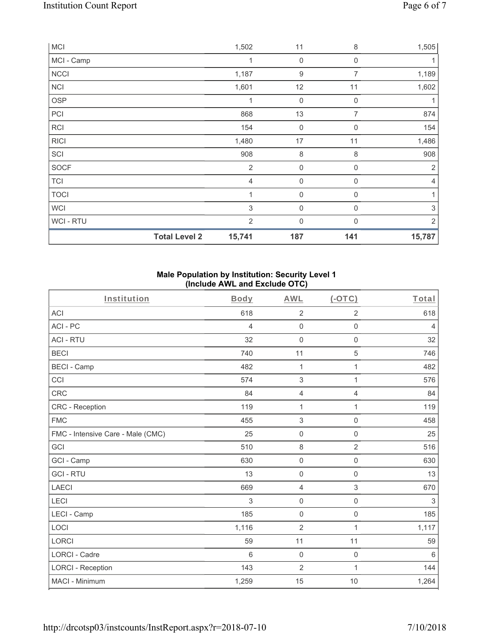| <b>MCI</b>     |                      | 1,502          | 11                  | 8           | 1,505                     |
|----------------|----------------------|----------------|---------------------|-------------|---------------------------|
| MCI - Camp     |                      | 1              | $\boldsymbol{0}$    | $\mathbf 0$ |                           |
| <b>NCCI</b>    |                      | 1,187          | $\boldsymbol{9}$    | 7           | 1,189                     |
| <b>NCI</b>     |                      | 1,601          | 12                  | 11          | 1,602                     |
| OSP            |                      | 1              | $\mathsf{O}\xspace$ | $\mathbf 0$ |                           |
| PCI            |                      | 868            | 13                  | 7           | 874                       |
| <b>RCI</b>     |                      | 154            | $\mathsf{O}\xspace$ | $\mathbf 0$ | 154                       |
| <b>RICI</b>    |                      | 1,480          | 17                  | 11          | 1,486                     |
| SCI            |                      | 908            | $\,8\,$             | $\,8\,$     | 908                       |
| SOCF           |                      | $\overline{2}$ | $\mathsf{O}\xspace$ | $\mathbf 0$ | $\overline{2}$            |
| TCI            |                      | $\overline{4}$ | $\mathsf{O}\xspace$ | $\mathbf 0$ | $\overline{4}$            |
| <b>TOCI</b>    |                      | $\mathbf{1}$   | $\boldsymbol{0}$    | $\mathbf 0$ | 1                         |
| <b>WCI</b>     |                      | 3              | $\boldsymbol{0}$    | $\mathbf 0$ | $\ensuremath{\mathsf{3}}$ |
| <b>WCI-RTU</b> |                      | $\overline{2}$ | 0                   | $\Omega$    | 2                         |
|                | <b>Total Level 2</b> | 15,741         | 187                 | 141         | 15,787                    |

# **Male Population by Institution: Security Level 1 (Include AWL and Exclude OTC)**

| Institution                       | <b>Body</b> | <b>AWL</b>          | (OTC)          | Total          |
|-----------------------------------|-------------|---------------------|----------------|----------------|
| <b>ACI</b>                        | 618         | $\overline{2}$      | $\overline{2}$ | 618            |
| ACI-PC                            | 4           | $\mathbf 0$         | $\mathbf 0$    | $\overline{4}$ |
| <b>ACI - RTU</b>                  | 32          | $\mathbf 0$         | $\mathbf 0$    | 32             |
| <b>BECI</b>                       | 740         | 11                  | $\sqrt{5}$     | 746            |
| <b>BECI - Camp</b>                | 482         | 1                   | $\mathbf{1}$   | 482            |
| CCI                               | 574         | 3                   | $\mathbf{1}$   | 576            |
| CRC                               | 84          | 4                   | $\overline{4}$ | 84             |
| <b>CRC</b> - Reception            | 119         | $\mathbf{1}$        | $\mathbf{1}$   | 119            |
| <b>FMC</b>                        | 455         | 3                   | $\mathbf 0$    | 458            |
| FMC - Intensive Care - Male (CMC) | 25          | $\mathsf{O}\xspace$ | $\mathbf 0$    | 25             |
| GCI                               | 510         | $\,8\,$             | $\overline{2}$ | 516            |
| GCI - Camp                        | 630         | 0                   | $\mathbf 0$    | 630            |
| <b>GCI-RTU</b>                    | 13          | $\mathbf 0$         | $\mathbf 0$    | 13             |
| <b>LAECI</b>                      | 669         | $\overline{4}$      | 3              | 670            |
| LECI                              | 3           | 0                   | $\mathbf 0$    | 3              |
| LECI - Camp                       | 185         | $\mathbf 0$         | $\mathsf 0$    | 185            |
| LOCI                              | 1,116       | $\overline{2}$      | $\mathbf{1}$   | 1,117          |
| <b>LORCI</b>                      | 59          | 11                  | 11             | 59             |
| <b>LORCI - Cadre</b>              | 6           | $\mathsf{O}\xspace$ | 0              | $6\,$          |
| <b>LORCI - Reception</b>          | 143         | $\overline{2}$      | $\mathbf{1}$   | 144            |
| MACI - Minimum                    | 1,259       | 15                  | 10             | 1,264          |